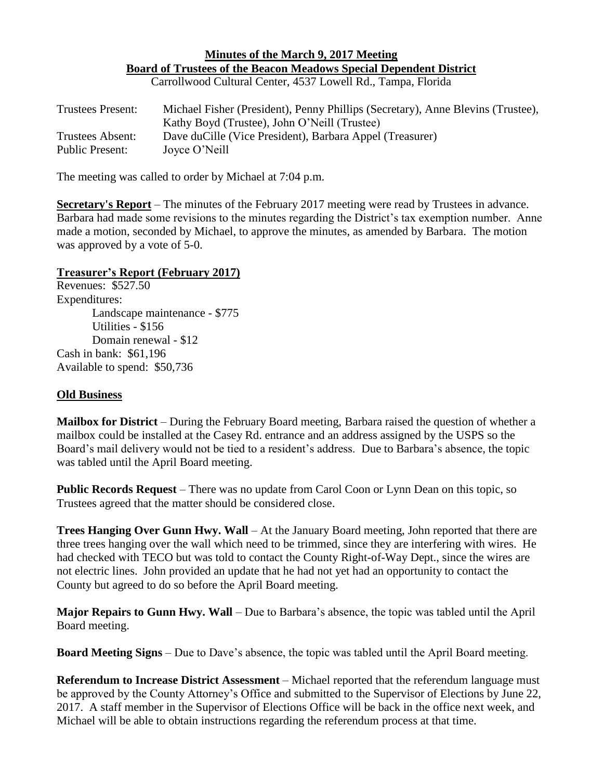## **Minutes of the March 9, 2017 Meeting Board of Trustees of the Beacon Meadows Special Dependent District** Carrollwood Cultural Center, 4537 Lowell Rd., Tampa, Florida

| <b>Trustees Present:</b> | Michael Fisher (President), Penny Phillips (Secretary), Anne Blevins (Trustee),<br>Kathy Boyd (Trustee), John O'Neill (Trustee) |
|--------------------------|---------------------------------------------------------------------------------------------------------------------------------|
| Trustees Absent:         | Dave du Cille (Vice President), Barbara Appel (Treasurer)                                                                       |
| <b>Public Present:</b>   | Joyce O'Neill                                                                                                                   |

The meeting was called to order by Michael at 7:04 p.m.

**Secretary's Report** – The minutes of the February 2017 meeting were read by Trustees in advance. Barbara had made some revisions to the minutes regarding the District's tax exemption number. Anne made a motion, seconded by Michael, to approve the minutes, as amended by Barbara. The motion was approved by a vote of 5-0.

## **Treasurer's Report (February 2017)**

Revenues: \$527.50 Expenditures: Landscape maintenance - \$775 Utilities - \$156 Domain renewal - \$12 Cash in bank: \$61,196 Available to spend: \$50,736

## **Old Business**

**Mailbox for District** – During the February Board meeting, Barbara raised the question of whether a mailbox could be installed at the Casey Rd. entrance and an address assigned by the USPS so the Board's mail delivery would not be tied to a resident's address. Due to Barbara's absence, the topic was tabled until the April Board meeting.

**Public Records Request** – There was no update from Carol Coon or Lynn Dean on this topic, so Trustees agreed that the matter should be considered close.

**Trees Hanging Over Gunn Hwy. Wall** – At the January Board meeting, John reported that there are three trees hanging over the wall which need to be trimmed, since they are interfering with wires. He had checked with TECO but was told to contact the County Right-of-Way Dept., since the wires are not electric lines. John provided an update that he had not yet had an opportunity to contact the County but agreed to do so before the April Board meeting.

**Major Repairs to Gunn Hwy. Wall** – Due to Barbara's absence, the topic was tabled until the April Board meeting.

**Board Meeting Signs** – Due to Dave's absence, the topic was tabled until the April Board meeting.

**Referendum to Increase District Assessment** – Michael reported that the referendum language must be approved by the County Attorney's Office and submitted to the Supervisor of Elections by June 22, 2017. A staff member in the Supervisor of Elections Office will be back in the office next week, and Michael will be able to obtain instructions regarding the referendum process at that time.